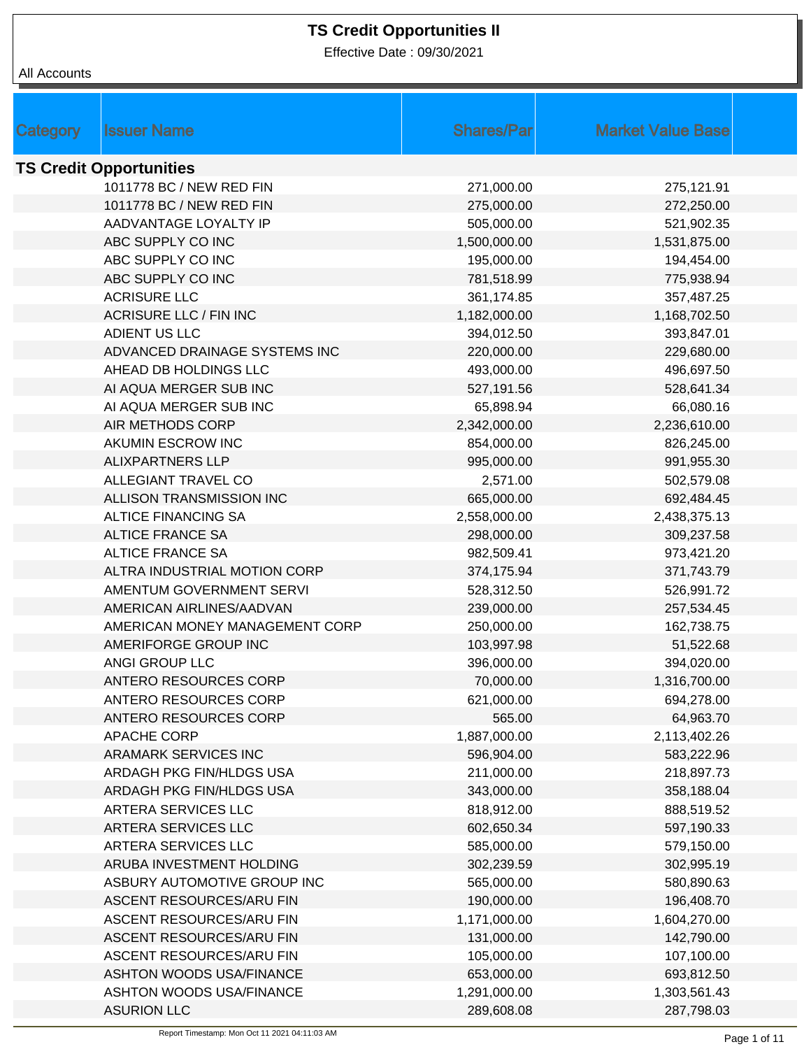Effective Date : 09/30/2021

| Category | <b>Issuer Name</b>              | <b>Shares/Par</b> | <b>Market Value Base</b> |  |
|----------|---------------------------------|-------------------|--------------------------|--|
|          | <b>TS Credit Opportunities</b>  |                   |                          |  |
|          | 1011778 BC / NEW RED FIN        | 271,000.00        | 275,121.91               |  |
|          | 1011778 BC / NEW RED FIN        | 275,000.00        | 272,250.00               |  |
|          | AADVANTAGE LOYALTY IP           | 505,000.00        | 521,902.35               |  |
|          | ABC SUPPLY CO INC               | 1,500,000.00      | 1,531,875.00             |  |
|          | ABC SUPPLY CO INC               | 195,000.00        | 194,454.00               |  |
|          | ABC SUPPLY CO INC               | 781,518.99        | 775,938.94               |  |
|          | <b>ACRISURE LLC</b>             | 361,174.85        | 357,487.25               |  |
|          | <b>ACRISURE LLC / FIN INC</b>   | 1,182,000.00      | 1,168,702.50             |  |
|          | ADIENT US LLC                   | 394,012.50        | 393,847.01               |  |
|          | ADVANCED DRAINAGE SYSTEMS INC   | 220,000.00        | 229,680.00               |  |
|          | AHEAD DB HOLDINGS LLC           | 493,000.00        | 496,697.50               |  |
|          | AI AQUA MERGER SUB INC          | 527,191.56        | 528,641.34               |  |
|          | AI AQUA MERGER SUB INC          | 65,898.94         | 66,080.16                |  |
|          | AIR METHODS CORP                | 2,342,000.00      | 2,236,610.00             |  |
|          | AKUMIN ESCROW INC               | 854,000.00        | 826,245.00               |  |
|          | <b>ALIXPARTNERS LLP</b>         | 995,000.00        | 991,955.30               |  |
|          | ALLEGIANT TRAVEL CO             | 2,571.00          | 502,579.08               |  |
|          | ALLISON TRANSMISSION INC        | 665,000.00        | 692,484.45               |  |
|          | <b>ALTICE FINANCING SA</b>      | 2,558,000.00      | 2,438,375.13             |  |
|          | <b>ALTICE FRANCE SA</b>         | 298,000.00        | 309,237.58               |  |
|          | <b>ALTICE FRANCE SA</b>         | 982,509.41        | 973,421.20               |  |
|          | ALTRA INDUSTRIAL MOTION CORP    | 374,175.94        | 371,743.79               |  |
|          | AMENTUM GOVERNMENT SERVI        | 528,312.50        | 526,991.72               |  |
|          | AMERICAN AIRLINES/AADVAN        | 239,000.00        | 257,534.45               |  |
|          | AMERICAN MONEY MANAGEMENT CORP  | 250,000.00        | 162,738.75               |  |
|          | AMERIFORGE GROUP INC            | 103,997.98        | 51,522.68                |  |
|          | ANGI GROUP LLC                  | 396,000.00        | 394,020.00               |  |
|          | ANTERO RESOURCES CORP           | 70,000.00         | 1,316,700.00             |  |
|          | ANTERO RESOURCES CORP           | 621,000.00        | 694,278.00               |  |
|          | ANTERO RESOURCES CORP           | 565.00            | 64,963.70                |  |
|          | <b>APACHE CORP</b>              | 1,887,000.00      | 2,113,402.26             |  |
|          | <b>ARAMARK SERVICES INC</b>     | 596,904.00        | 583,222.96               |  |
|          | ARDAGH PKG FIN/HLDGS USA        | 211,000.00        | 218,897.73               |  |
|          | ARDAGH PKG FIN/HLDGS USA        | 343,000.00        | 358,188.04               |  |
|          | ARTERA SERVICES LLC             | 818,912.00        | 888,519.52               |  |
|          | ARTERA SERVICES LLC             | 602,650.34        | 597,190.33               |  |
|          | ARTERA SERVICES LLC             | 585,000.00        | 579,150.00               |  |
|          | ARUBA INVESTMENT HOLDING        | 302,239.59        | 302,995.19               |  |
|          | ASBURY AUTOMOTIVE GROUP INC     | 565,000.00        | 580,890.63               |  |
|          | ASCENT RESOURCES/ARU FIN        | 190,000.00        | 196,408.70               |  |
|          | ASCENT RESOURCES/ARU FIN        | 1,171,000.00      | 1,604,270.00             |  |
|          | ASCENT RESOURCES/ARU FIN        | 131,000.00        | 142,790.00               |  |
|          | ASCENT RESOURCES/ARU FIN        | 105,000.00        | 107,100.00               |  |
|          | <b>ASHTON WOODS USA/FINANCE</b> | 653,000.00        | 693,812.50               |  |
|          | <b>ASHTON WOODS USA/FINANCE</b> | 1,291,000.00      | 1,303,561.43             |  |
|          | <b>ASURION LLC</b>              | 289,608.08        | 287,798.03               |  |
|          |                                 |                   |                          |  |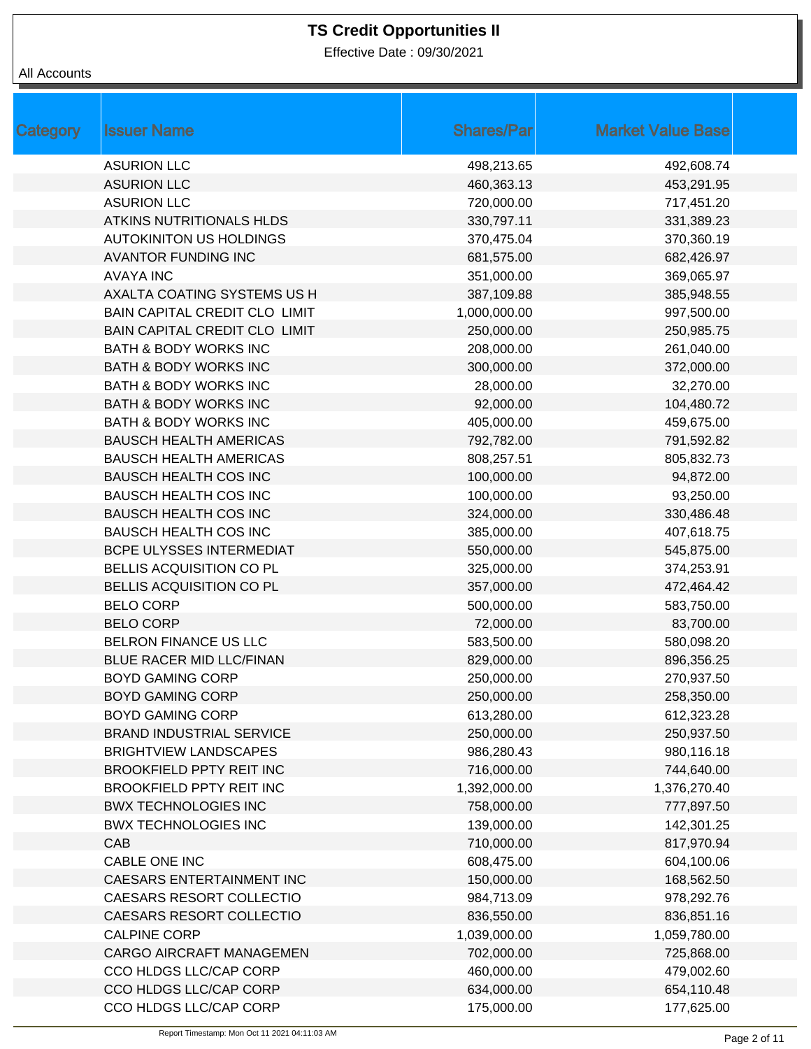Effective Date : 09/30/2021

| <b>Category</b> | <b>Issuer Name</b>               | <b>Shares/Par</b> | <b>Market Value Base</b> |
|-----------------|----------------------------------|-------------------|--------------------------|
|                 | <b>ASURION LLC</b>               | 498,213.65        | 492,608.74               |
|                 | <b>ASURION LLC</b>               | 460,363.13        | 453,291.95               |
|                 | <b>ASURION LLC</b>               | 720,000.00        | 717,451.20               |
|                 | <b>ATKINS NUTRITIONALS HLDS</b>  | 330,797.11        | 331,389.23               |
|                 | <b>AUTOKINITON US HOLDINGS</b>   | 370,475.04        | 370,360.19               |
|                 | <b>AVANTOR FUNDING INC</b>       | 681,575.00        | 682,426.97               |
|                 | <b>AVAYA INC</b>                 | 351,000.00        | 369,065.97               |
|                 | AXALTA COATING SYSTEMS US H      | 387,109.88        | 385,948.55               |
|                 | BAIN CAPITAL CREDIT CLO LIMIT    | 1,000,000.00      | 997,500.00               |
|                 | BAIN CAPITAL CREDIT CLO LIMIT    | 250,000.00        | 250,985.75               |
|                 | <b>BATH &amp; BODY WORKS INC</b> | 208,000.00        | 261,040.00               |
|                 | <b>BATH &amp; BODY WORKS INC</b> | 300,000.00        | 372,000.00               |
|                 | <b>BATH &amp; BODY WORKS INC</b> | 28,000.00         | 32,270.00                |
|                 | <b>BATH &amp; BODY WORKS INC</b> | 92,000.00         | 104,480.72               |
|                 | <b>BATH &amp; BODY WORKS INC</b> | 405,000.00        | 459,675.00               |
|                 | <b>BAUSCH HEALTH AMERICAS</b>    | 792,782.00        | 791,592.82               |
|                 | <b>BAUSCH HEALTH AMERICAS</b>    | 808,257.51        | 805,832.73               |
|                 | <b>BAUSCH HEALTH COS INC</b>     | 100,000.00        | 94,872.00                |
|                 | <b>BAUSCH HEALTH COS INC</b>     | 100,000.00        | 93,250.00                |
|                 | <b>BAUSCH HEALTH COS INC</b>     | 324,000.00        | 330,486.48               |
|                 | <b>BAUSCH HEALTH COS INC</b>     | 385,000.00        | 407,618.75               |
|                 | BCPE ULYSSES INTERMEDIAT         | 550,000.00        | 545,875.00               |
|                 | BELLIS ACQUISITION CO PL         | 325,000.00        | 374,253.91               |
|                 | BELLIS ACQUISITION CO PL         | 357,000.00        | 472,464.42               |
|                 | <b>BELO CORP</b>                 | 500,000.00        | 583,750.00               |
|                 | <b>BELO CORP</b>                 | 72,000.00         | 83,700.00                |
|                 | BELRON FINANCE US LLC            | 583,500.00        | 580,098.20               |
|                 | <b>BLUE RACER MID LLC/FINAN</b>  | 829,000.00        | 896,356.25               |
|                 | <b>BOYD GAMING CORP</b>          | 250,000.00        | 270,937.50               |
|                 | <b>BOYD GAMING CORP</b>          | 250,000.00        | 258,350.00               |
|                 | <b>BOYD GAMING CORP</b>          | 613,280.00        | 612,323.28               |
|                 | <b>BRAND INDUSTRIAL SERVICE</b>  | 250,000.00        | 250,937.50               |
|                 | <b>BRIGHTVIEW LANDSCAPES</b>     | 986,280.43        | 980,116.18               |
|                 | <b>BROOKFIELD PPTY REIT INC</b>  | 716,000.00        | 744,640.00               |
|                 | BROOKFIELD PPTY REIT INC         | 1,392,000.00      | 1,376,270.40             |
|                 | <b>BWX TECHNOLOGIES INC</b>      | 758,000.00        | 777,897.50               |
|                 | <b>BWX TECHNOLOGIES INC</b>      | 139,000.00        | 142,301.25               |
|                 | CAB                              | 710,000.00        | 817,970.94               |
|                 | CABLE ONE INC                    | 608,475.00        | 604,100.06               |
|                 | <b>CAESARS ENTERTAINMENT INC</b> | 150,000.00        | 168,562.50               |
|                 | CAESARS RESORT COLLECTIO         | 984,713.09        | 978,292.76               |
|                 | CAESARS RESORT COLLECTIO         | 836,550.00        | 836,851.16               |
|                 | <b>CALPINE CORP</b>              | 1,039,000.00      | 1,059,780.00             |
|                 | CARGO AIRCRAFT MANAGEMEN         | 702,000.00        | 725,868.00               |
|                 | CCO HLDGS LLC/CAP CORP           | 460,000.00        | 479,002.60               |
|                 | CCO HLDGS LLC/CAP CORP           | 634,000.00        | 654,110.48               |
|                 | CCO HLDGS LLC/CAP CORP           | 175,000.00        | 177,625.00               |
|                 |                                  |                   |                          |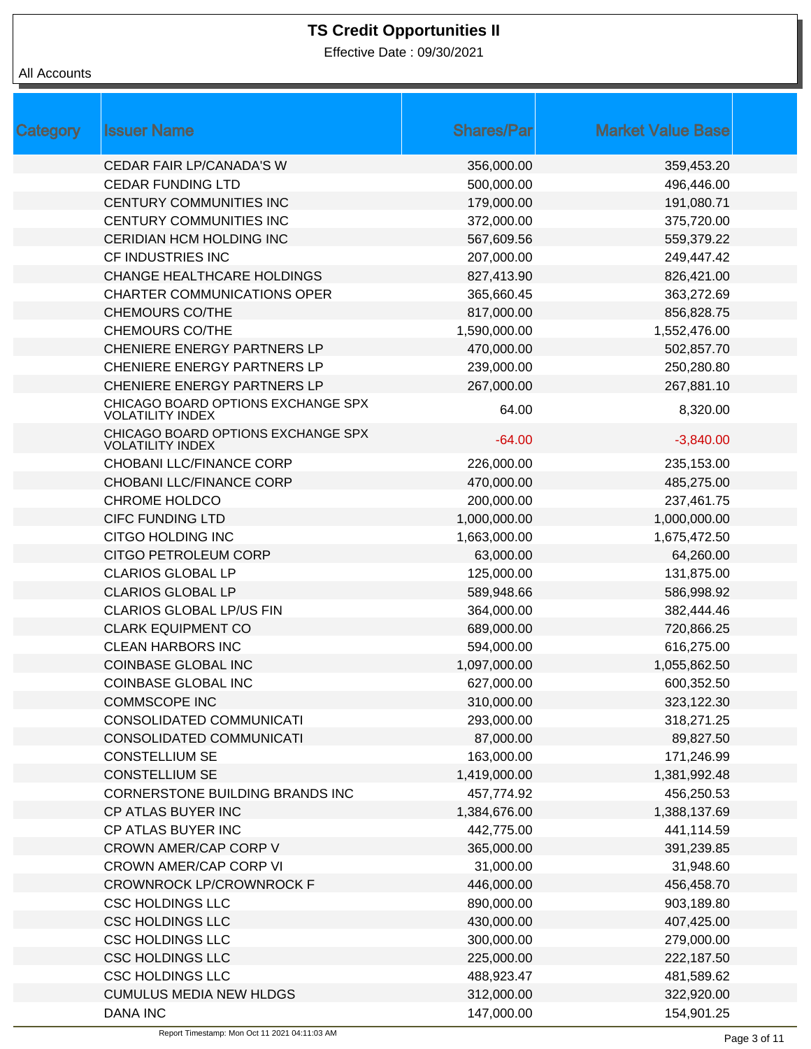Effective Date : 09/30/2021

| Category | <b>Issuer Name</b>                                            | <b>Shares/Par</b> | <b>Market Value Base</b> |  |
|----------|---------------------------------------------------------------|-------------------|--------------------------|--|
|          | <b>CEDAR FAIR LP/CANADA'S W</b>                               | 356,000.00        | 359,453.20               |  |
|          | <b>CEDAR FUNDING LTD</b>                                      | 500,000.00        | 496,446.00               |  |
|          | CENTURY COMMUNITIES INC                                       | 179,000.00        | 191,080.71               |  |
|          | CENTURY COMMUNITIES INC                                       | 372,000.00        | 375,720.00               |  |
|          | CERIDIAN HCM HOLDING INC                                      | 567,609.56        | 559,379.22               |  |
|          | CF INDUSTRIES INC                                             | 207,000.00        | 249,447.42               |  |
|          | <b>CHANGE HEALTHCARE HOLDINGS</b>                             | 827,413.90        | 826,421.00               |  |
|          | <b>CHARTER COMMUNICATIONS OPER</b>                            | 365,660.45        | 363,272.69               |  |
|          | <b>CHEMOURS CO/THE</b>                                        | 817,000.00        | 856,828.75               |  |
|          | <b>CHEMOURS CO/THE</b>                                        | 1,590,000.00      | 1,552,476.00             |  |
|          | CHENIERE ENERGY PARTNERS LP                                   | 470,000.00        | 502,857.70               |  |
|          | CHENIERE ENERGY PARTNERS LP                                   | 239,000.00        | 250,280.80               |  |
|          | CHENIERE ENERGY PARTNERS LP                                   | 267,000.00        | 267,881.10               |  |
|          | CHICAGO BOARD OPTIONS EXCHANGE SPX<br><b>VOLATILITY INDEX</b> | 64.00             | 8,320.00                 |  |
|          | CHICAGO BOARD OPTIONS EXCHANGE SPX<br><b>VOLATILITY INDEX</b> | $-64.00$          | $-3,840.00$              |  |
|          | CHOBANI LLC/FINANCE CORP                                      | 226,000.00        | 235,153.00               |  |
|          | CHOBANI LLC/FINANCE CORP                                      | 470,000.00        | 485,275.00               |  |
|          | <b>CHROME HOLDCO</b>                                          | 200,000.00        | 237,461.75               |  |
|          | <b>CIFC FUNDING LTD</b>                                       | 1,000,000.00      | 1,000,000.00             |  |
|          | CITGO HOLDING INC                                             | 1,663,000.00      | 1,675,472.50             |  |
|          | CITGO PETROLEUM CORP                                          | 63,000.00         | 64,260.00                |  |
|          | <b>CLARIOS GLOBAL LP</b>                                      | 125,000.00        | 131,875.00               |  |
|          | <b>CLARIOS GLOBAL LP</b>                                      | 589,948.66        | 586,998.92               |  |
|          | <b>CLARIOS GLOBAL LP/US FIN</b>                               | 364,000.00        | 382,444.46               |  |
|          | <b>CLARK EQUIPMENT CO</b>                                     | 689,000.00        | 720,866.25               |  |
|          | <b>CLEAN HARBORS INC</b>                                      | 594,000.00        | 616,275.00               |  |
|          | <b>COINBASE GLOBAL INC</b>                                    | 1,097,000.00      | 1,055,862.50             |  |
|          | <b>COINBASE GLOBAL INC</b>                                    | 627,000.00        | 600,352.50               |  |
|          | <b>COMMSCOPE INC</b>                                          | 310,000.00        | 323,122.30               |  |
|          | CONSOLIDATED COMMUNICATI                                      | 293,000.00        | 318,271.25               |  |
|          | CONSOLIDATED COMMUNICATI                                      | 87,000.00         | 89,827.50                |  |
|          | <b>CONSTELLIUM SE</b>                                         | 163,000.00        | 171,246.99               |  |
|          | <b>CONSTELLIUM SE</b>                                         | 1,419,000.00      | 1,381,992.48             |  |
|          | CORNERSTONE BUILDING BRANDS INC                               | 457,774.92        | 456,250.53               |  |
|          | CP ATLAS BUYER INC                                            | 1,384,676.00      | 1,388,137.69             |  |
|          | CP ATLAS BUYER INC                                            | 442,775.00        | 441,114.59               |  |
|          | CROWN AMER/CAP CORP V                                         | 365,000.00        | 391,239.85               |  |
|          | <b>CROWN AMER/CAP CORP VI</b>                                 | 31,000.00         | 31,948.60                |  |
|          | <b>CROWNROCK LP/CROWNROCK F</b>                               | 446,000.00        | 456,458.70               |  |
|          | <b>CSC HOLDINGS LLC</b>                                       | 890,000.00        | 903,189.80               |  |
|          | <b>CSC HOLDINGS LLC</b>                                       | 430,000.00        | 407,425.00               |  |
|          | <b>CSC HOLDINGS LLC</b>                                       | 300,000.00        | 279,000.00               |  |
|          | <b>CSC HOLDINGS LLC</b>                                       | 225,000.00        | 222,187.50               |  |
|          | <b>CSC HOLDINGS LLC</b>                                       | 488,923.47        | 481,589.62               |  |
|          | <b>CUMULUS MEDIA NEW HLDGS</b>                                | 312,000.00        | 322,920.00               |  |
|          | <b>DANA INC</b>                                               | 147,000.00        | 154,901.25               |  |
|          |                                                               |                   |                          |  |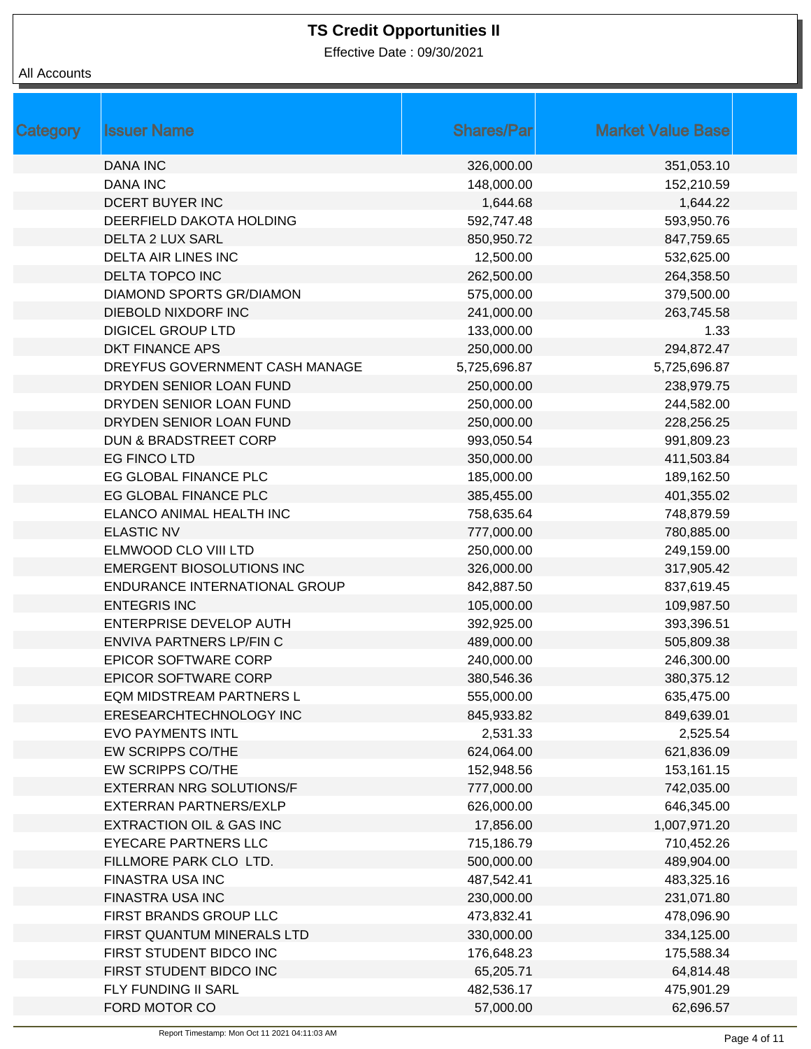Effective Date : 09/30/2021

| <b>Category</b> | <b>Issuer Name</b>               | <b>Shares/Par</b> | <b>Market Value Base</b> |
|-----------------|----------------------------------|-------------------|--------------------------|
|                 | <b>DANA INC</b>                  | 326,000.00        | 351,053.10               |
|                 | <b>DANA INC</b>                  | 148,000.00        | 152,210.59               |
|                 | DCERT BUYER INC                  | 1,644.68          | 1,644.22                 |
|                 | DEERFIELD DAKOTA HOLDING         | 592,747.48        | 593,950.76               |
|                 | <b>DELTA 2 LUX SARL</b>          | 850,950.72        | 847,759.65               |
|                 | <b>DELTA AIR LINES INC</b>       | 12,500.00         | 532,625.00               |
|                 | DELTA TOPCO INC                  | 262,500.00        | 264,358.50               |
|                 | DIAMOND SPORTS GR/DIAMON         | 575,000.00        | 379,500.00               |
|                 | DIEBOLD NIXDORF INC              | 241,000.00        | 263,745.58               |
|                 | <b>DIGICEL GROUP LTD</b>         | 133,000.00        | 1.33                     |
|                 | DKT FINANCE APS                  | 250,000.00        | 294,872.47               |
|                 | DREYFUS GOVERNMENT CASH MANAGE   | 5,725,696.87      | 5,725,696.87             |
|                 | DRYDEN SENIOR LOAN FUND          | 250,000.00        | 238,979.75               |
|                 | DRYDEN SENIOR LOAN FUND          | 250,000.00        | 244,582.00               |
|                 | DRYDEN SENIOR LOAN FUND          | 250,000.00        | 228,256.25               |
|                 | <b>DUN &amp; BRADSTREET CORP</b> | 993,050.54        | 991,809.23               |
|                 | EG FINCO LTD                     | 350,000.00        | 411,503.84               |
|                 | EG GLOBAL FINANCE PLC            | 185,000.00        | 189,162.50               |
|                 | EG GLOBAL FINANCE PLC            | 385,455.00        | 401,355.02               |
|                 | ELANCO ANIMAL HEALTH INC         | 758,635.64        | 748,879.59               |
|                 | <b>ELASTIC NV</b>                | 777,000.00        | 780,885.00               |
|                 | ELMWOOD CLO VIII LTD             | 250,000.00        | 249,159.00               |
|                 | <b>EMERGENT BIOSOLUTIONS INC</b> | 326,000.00        | 317,905.42               |
|                 | ENDURANCE INTERNATIONAL GROUP    | 842,887.50        | 837,619.45               |
|                 | <b>ENTEGRIS INC</b>              | 105,000.00        | 109,987.50               |
|                 | <b>ENTERPRISE DEVELOP AUTH</b>   | 392,925.00        | 393,396.51               |
|                 | ENVIVA PARTNERS LP/FIN C         | 489,000.00        | 505,809.38               |
|                 | <b>EPICOR SOFTWARE CORP</b>      | 240,000.00        | 246,300.00               |
|                 | <b>EPICOR SOFTWARE CORP</b>      | 380,546.36        | 380,375.12               |
|                 | <b>EQM MIDSTREAM PARTNERS L</b>  | 555,000.00        | 635,475.00               |
|                 | ERESEARCHTECHNOLOGY INC          | 845,933.82        | 849,639.01               |
|                 | <b>EVO PAYMENTS INTL</b>         | 2,531.33          | 2,525.54                 |
|                 | EW SCRIPPS CO/THE                | 624,064.00        | 621,836.09               |
|                 | EW SCRIPPS CO/THE                | 152,948.56        | 153,161.15               |
|                 | EXTERRAN NRG SOLUTIONS/F         | 777,000.00        | 742,035.00               |
|                 | EXTERRAN PARTNERS/EXLP           | 626,000.00        | 646,345.00               |
|                 | EXTRACTION OIL & GAS INC         | 17,856.00         | 1,007,971.20             |
|                 | <b>EYECARE PARTNERS LLC</b>      | 715,186.79        | 710,452.26               |
|                 | FILLMORE PARK CLO LTD.           | 500,000.00        | 489,904.00               |
|                 | FINASTRA USA INC                 | 487,542.41        | 483,325.16               |
|                 | FINASTRA USA INC                 | 230,000.00        | 231,071.80               |
|                 | FIRST BRANDS GROUP LLC           | 473,832.41        | 478,096.90               |
|                 | FIRST QUANTUM MINERALS LTD       | 330,000.00        | 334,125.00               |
|                 | FIRST STUDENT BIDCO INC          | 176,648.23        | 175,588.34               |
|                 | FIRST STUDENT BIDCO INC          | 65,205.71         | 64,814.48                |
|                 | FLY FUNDING II SARL              | 482,536.17        | 475,901.29               |
|                 | FORD MOTOR CO                    | 57,000.00         | 62,696.57                |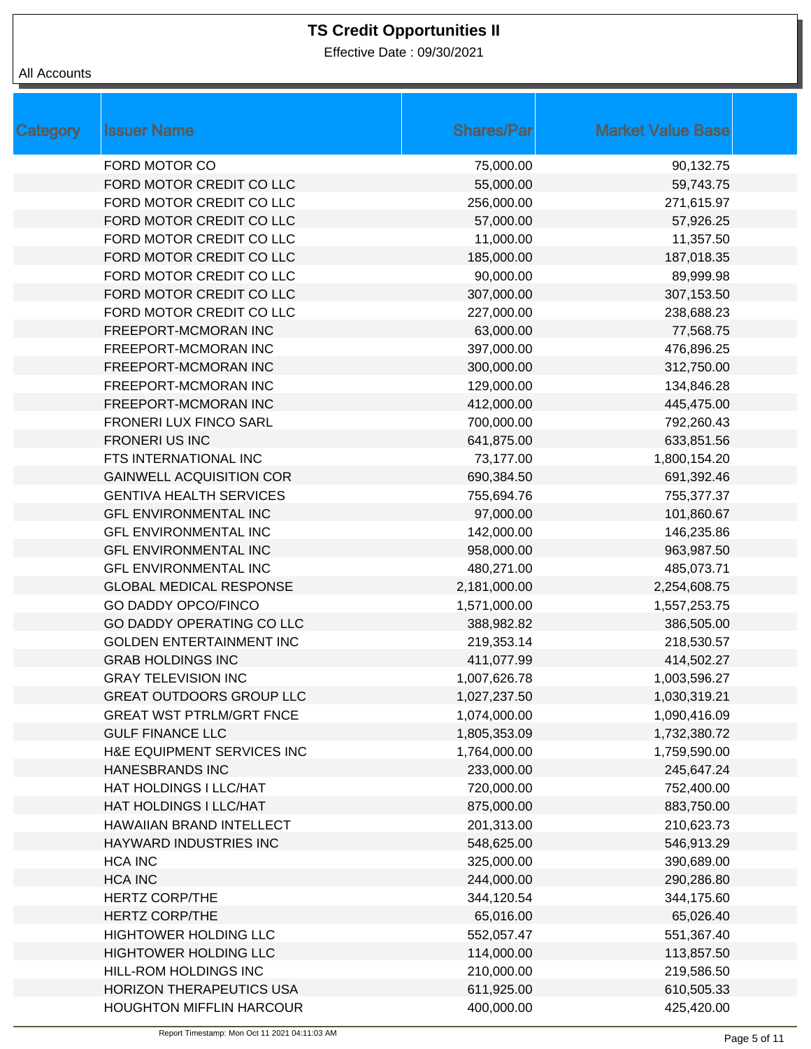Effective Date : 09/30/2021

| Category | <b>Issuer Name</b>              | <b>Shares/Par</b> | <b>Market Value Base</b> |
|----------|---------------------------------|-------------------|--------------------------|
|          | FORD MOTOR CO                   | 75,000.00         | 90,132.75                |
|          | FORD MOTOR CREDIT CO LLC        | 55,000.00         | 59,743.75                |
|          | FORD MOTOR CREDIT CO LLC        | 256,000.00        | 271,615.97               |
|          | FORD MOTOR CREDIT CO LLC        | 57,000.00         | 57,926.25                |
|          | FORD MOTOR CREDIT CO LLC        | 11,000.00         | 11,357.50                |
|          | FORD MOTOR CREDIT CO LLC        | 185,000.00        | 187,018.35               |
|          | FORD MOTOR CREDIT CO LLC        | 90,000.00         | 89,999.98                |
|          | FORD MOTOR CREDIT CO LLC        | 307,000.00        | 307,153.50               |
|          | FORD MOTOR CREDIT CO LLC        | 227,000.00        | 238,688.23               |
|          | FREEPORT-MCMORAN INC            | 63,000.00         | 77,568.75                |
|          | FREEPORT-MCMORAN INC            | 397,000.00        | 476,896.25               |
|          | FREEPORT-MCMORAN INC            | 300,000.00        | 312,750.00               |
|          | FREEPORT-MCMORAN INC            | 129,000.00        | 134,846.28               |
|          | FREEPORT-MCMORAN INC            | 412,000.00        | 445,475.00               |
|          | FRONERI LUX FINCO SARL          | 700,000.00        | 792,260.43               |
|          | <b>FRONERI US INC</b>           | 641,875.00        | 633,851.56               |
|          | FTS INTERNATIONAL INC           | 73,177.00         | 1,800,154.20             |
|          | <b>GAINWELL ACQUISITION COR</b> | 690,384.50        | 691,392.46               |
|          | <b>GENTIVA HEALTH SERVICES</b>  | 755,694.76        | 755,377.37               |
|          | <b>GFL ENVIRONMENTAL INC</b>    | 97,000.00         | 101,860.67               |
|          | <b>GFL ENVIRONMENTAL INC</b>    | 142,000.00        | 146,235.86               |
|          | <b>GFL ENVIRONMENTAL INC</b>    | 958,000.00        | 963,987.50               |
|          | <b>GFL ENVIRONMENTAL INC</b>    | 480,271.00        | 485,073.71               |
|          | <b>GLOBAL MEDICAL RESPONSE</b>  | 2,181,000.00      | 2,254,608.75             |
|          | <b>GO DADDY OPCO/FINCO</b>      | 1,571,000.00      | 1,557,253.75             |
|          | GO DADDY OPERATING CO LLC       | 388,982.82        | 386,505.00               |
|          | <b>GOLDEN ENTERTAINMENT INC</b> | 219,353.14        | 218,530.57               |
|          | <b>GRAB HOLDINGS INC</b>        | 411,077.99        | 414,502.27               |
|          | <b>GRAY TELEVISION INC</b>      | 1,007,626.78      | 1,003,596.27             |
|          | <b>GREAT OUTDOORS GROUP LLC</b> | 1,027,237.50      | 1,030,319.21             |
|          | <b>GREAT WST PTRLM/GRT FNCE</b> | 1,074,000.00      | 1,090,416.09             |
|          | <b>GULF FINANCE LLC</b>         | 1,805,353.09      | 1,732,380.72             |
|          | H&E EQUIPMENT SERVICES INC      | 1,764,000.00      | 1,759,590.00             |
|          | <b>HANESBRANDS INC</b>          | 233,000.00        | 245,647.24               |
|          | HAT HOLDINGS I LLC/HAT          | 720,000.00        | 752,400.00               |
|          | HAT HOLDINGS I LLC/HAT          | 875,000.00        | 883,750.00               |
|          | HAWAIIAN BRAND INTELLECT        | 201,313.00        | 210,623.73               |
|          | HAYWARD INDUSTRIES INC          | 548,625.00        | 546,913.29               |
|          | <b>HCA INC</b>                  | 325,000.00        | 390,689.00               |
|          | <b>HCA INC</b>                  | 244,000.00        | 290,286.80               |
|          | <b>HERTZ CORP/THE</b>           | 344,120.54        | 344,175.60               |
|          | <b>HERTZ CORP/THE</b>           | 65,016.00         | 65,026.40                |
|          | HIGHTOWER HOLDING LLC           | 552,057.47        | 551,367.40               |
|          | HIGHTOWER HOLDING LLC           | 114,000.00        | 113,857.50               |
|          | HILL-ROM HOLDINGS INC           | 210,000.00        | 219,586.50               |
|          | <b>HORIZON THERAPEUTICS USA</b> | 611,925.00        | 610,505.33               |
|          | <b>HOUGHTON MIFFLIN HARCOUR</b> | 400,000.00        | 425,420.00               |
|          |                                 |                   |                          |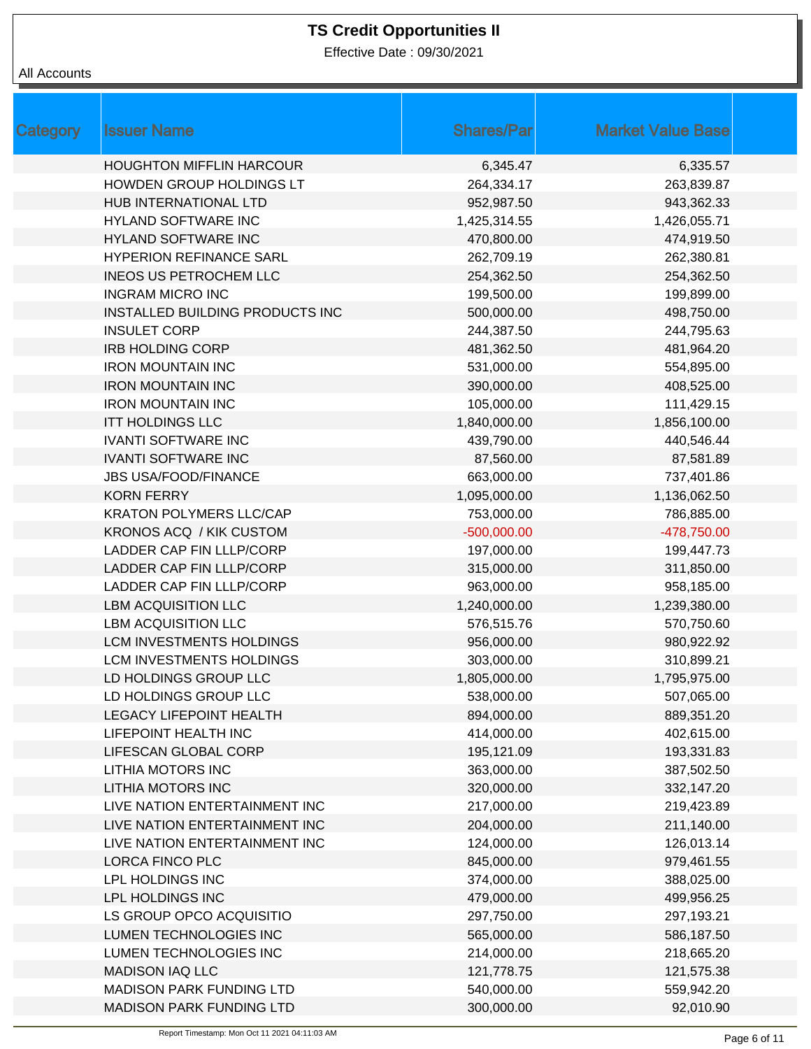Effective Date : 09/30/2021

| Category | <b>Issuer Name</b>                     | <b>Shares/Par</b> | <b>Market Value Base</b> |  |
|----------|----------------------------------------|-------------------|--------------------------|--|
|          | <b>HOUGHTON MIFFLIN HARCOUR</b>        | 6,345.47          | 6,335.57                 |  |
|          | HOWDEN GROUP HOLDINGS LT               | 264,334.17        | 263,839.87               |  |
|          | HUB INTERNATIONAL LTD                  | 952,987.50        | 943,362.33               |  |
|          | HYLAND SOFTWARE INC                    | 1,425,314.55      | 1,426,055.71             |  |
|          | HYLAND SOFTWARE INC                    | 470,800.00        | 474,919.50               |  |
|          | <b>HYPERION REFINANCE SARL</b>         | 262,709.19        | 262,380.81               |  |
|          | <b>INEOS US PETROCHEM LLC</b>          | 254,362.50        | 254,362.50               |  |
|          | <b>INGRAM MICRO INC</b>                | 199,500.00        | 199,899.00               |  |
|          | <b>INSTALLED BUILDING PRODUCTS INC</b> | 500,000.00        | 498,750.00               |  |
|          | <b>INSULET CORP</b>                    | 244,387.50        | 244,795.63               |  |
|          | <b>IRB HOLDING CORP</b>                | 481,362.50        | 481,964.20               |  |
|          | <b>IRON MOUNTAIN INC</b>               | 531,000.00        | 554,895.00               |  |
|          | <b>IRON MOUNTAIN INC</b>               | 390,000.00        | 408,525.00               |  |
|          | <b>IRON MOUNTAIN INC</b>               | 105,000.00        | 111,429.15               |  |
|          | <b>ITT HOLDINGS LLC</b>                | 1,840,000.00      | 1,856,100.00             |  |
|          | <b>IVANTI SOFTWARE INC</b>             | 439,790.00        | 440,546.44               |  |
|          | <b>IVANTI SOFTWARE INC</b>             | 87,560.00         | 87,581.89                |  |
|          | <b>JBS USA/FOOD/FINANCE</b>            | 663,000.00        | 737,401.86               |  |
|          | <b>KORN FERRY</b>                      | 1,095,000.00      | 1,136,062.50             |  |
|          | <b>KRATON POLYMERS LLC/CAP</b>         | 753,000.00        | 786,885.00               |  |
|          | <b>KRONOS ACQ / KIK CUSTOM</b>         | $-500,000.00$     | -478,750.00              |  |
|          | LADDER CAP FIN LLLP/CORP               | 197,000.00        | 199,447.73               |  |
|          | LADDER CAP FIN LLLP/CORP               | 315,000.00        | 311,850.00               |  |
|          | LADDER CAP FIN LLLP/CORP               | 963,000.00        | 958,185.00               |  |
|          | <b>LBM ACQUISITION LLC</b>             | 1,240,000.00      | 1,239,380.00             |  |
|          | <b>LBM ACQUISITION LLC</b>             | 576,515.76        | 570,750.60               |  |
|          | LCM INVESTMENTS HOLDINGS               | 956,000.00        | 980,922.92               |  |
|          | LCM INVESTMENTS HOLDINGS               | 303,000.00        | 310,899.21               |  |
|          | LD HOLDINGS GROUP LLC                  | 1,805,000.00      | 1,795,975.00             |  |
|          | LD HOLDINGS GROUP LLC                  | 538,000.00        | 507,065.00               |  |
|          | <b>LEGACY LIFEPOINT HEALTH</b>         | 894,000.00        | 889,351.20               |  |
|          | LIFEPOINT HEALTH INC                   | 414,000.00        | 402,615.00               |  |
|          | LIFESCAN GLOBAL CORP                   | 195,121.09        | 193,331.83               |  |
|          | <b>LITHIA MOTORS INC</b>               | 363,000.00        | 387,502.50               |  |
|          | <b>LITHIA MOTORS INC</b>               | 320,000.00        | 332,147.20               |  |
|          | LIVE NATION ENTERTAINMENT INC          | 217,000.00        | 219,423.89               |  |
|          | LIVE NATION ENTERTAINMENT INC          | 204,000.00        | 211,140.00               |  |
|          | LIVE NATION ENTERTAINMENT INC          | 124,000.00        | 126,013.14               |  |
|          | <b>LORCA FINCO PLC</b>                 | 845,000.00        | 979,461.55               |  |
|          | LPL HOLDINGS INC                       | 374,000.00        | 388,025.00               |  |
|          | LPL HOLDINGS INC                       | 479,000.00        | 499,956.25               |  |
|          | LS GROUP OPCO ACQUISITIO               | 297,750.00        | 297,193.21               |  |
|          | LUMEN TECHNOLOGIES INC                 | 565,000.00        | 586,187.50               |  |
|          | LUMEN TECHNOLOGIES INC                 | 214,000.00        | 218,665.20               |  |
|          | <b>MADISON IAQ LLC</b>                 | 121,778.75        | 121,575.38               |  |
|          | <b>MADISON PARK FUNDING LTD</b>        | 540,000.00        | 559,942.20               |  |
|          | <b>MADISON PARK FUNDING LTD</b>        | 300,000.00        | 92,010.90                |  |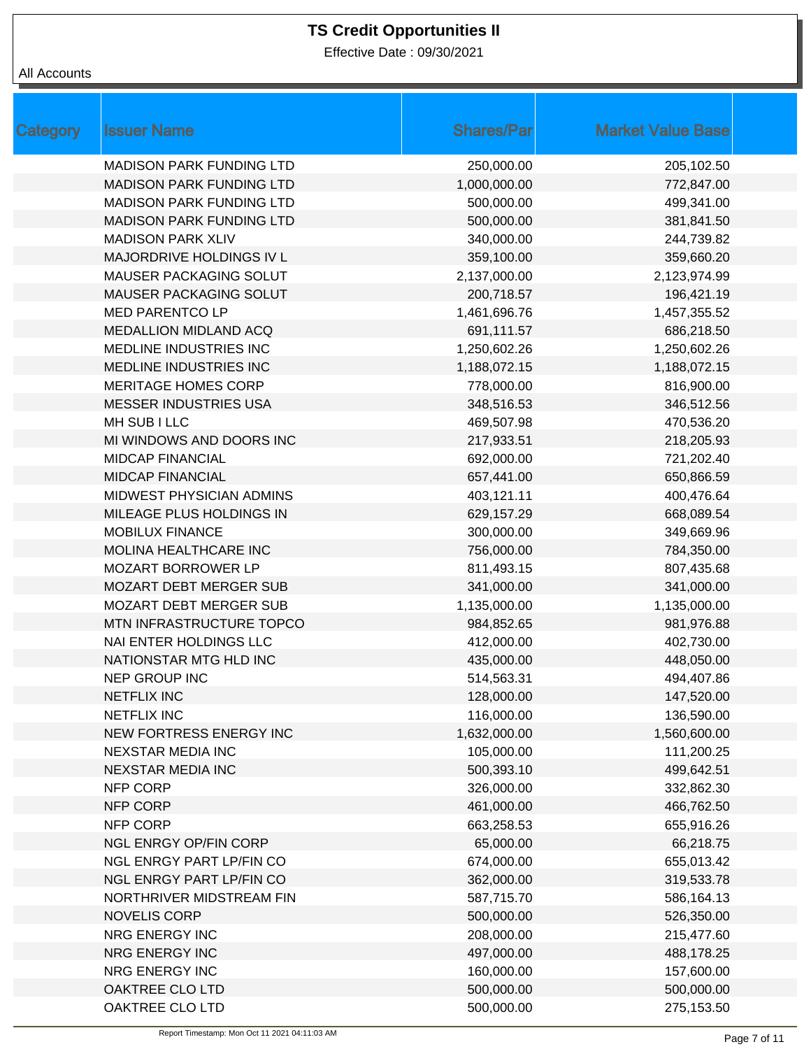Effective Date : 09/30/2021

| <b>Category</b><br><b>Issuer Name</b> | <b>Shares/Par</b> | <b>Market Value Base</b> |  |
|---------------------------------------|-------------------|--------------------------|--|
| <b>MADISON PARK FUNDING LTD</b>       | 250,000.00        | 205,102.50               |  |
| <b>MADISON PARK FUNDING LTD</b>       | 1,000,000.00      | 772,847.00               |  |
| <b>MADISON PARK FUNDING LTD</b>       | 500,000.00        | 499,341.00               |  |
| <b>MADISON PARK FUNDING LTD</b>       | 500,000.00        | 381,841.50               |  |
| <b>MADISON PARK XLIV</b>              | 340,000.00        | 244,739.82               |  |
| MAJORDRIVE HOLDINGS IV L              | 359,100.00        | 359,660.20               |  |
| MAUSER PACKAGING SOLUT                | 2,137,000.00      | 2,123,974.99             |  |
| MAUSER PACKAGING SOLUT                | 200,718.57        | 196,421.19               |  |
| <b>MED PARENTCO LP</b>                | 1,461,696.76      | 1,457,355.52             |  |
| <b>MEDALLION MIDLAND ACQ</b>          | 691,111.57        | 686,218.50               |  |
| MEDLINE INDUSTRIES INC                | 1,250,602.26      | 1,250,602.26             |  |
| MEDLINE INDUSTRIES INC                | 1,188,072.15      | 1,188,072.15             |  |
| <b>MERITAGE HOMES CORP</b>            | 778,000.00        | 816,900.00               |  |
| <b>MESSER INDUSTRIES USA</b>          | 348,516.53        | 346,512.56               |  |
| MH SUB I LLC                          | 469,507.98        | 470,536.20               |  |
| MI WINDOWS AND DOORS INC              | 217,933.51        | 218,205.93               |  |
| <b>MIDCAP FINANCIAL</b>               | 692,000.00        | 721,202.40               |  |
| <b>MIDCAP FINANCIAL</b>               | 657,441.00        | 650,866.59               |  |
| MIDWEST PHYSICIAN ADMINS              | 403,121.11        | 400,476.64               |  |
| MILEAGE PLUS HOLDINGS IN              | 629,157.29        | 668,089.54               |  |
| <b>MOBILUX FINANCE</b>                | 300,000.00        | 349,669.96               |  |
| MOLINA HEALTHCARE INC                 | 756,000.00        | 784,350.00               |  |
| MOZART BORROWER LP                    | 811,493.15        | 807,435.68               |  |
| <b>MOZART DEBT MERGER SUB</b>         | 341,000.00        | 341,000.00               |  |
| <b>MOZART DEBT MERGER SUB</b>         | 1,135,000.00      | 1,135,000.00             |  |
| MTN INFRASTRUCTURE TOPCO              | 984,852.65        | 981,976.88               |  |
| NAI ENTER HOLDINGS LLC                | 412,000.00        | 402,730.00               |  |
| NATIONSTAR MTG HLD INC                | 435,000.00        | 448,050.00               |  |
| <b>NEP GROUP INC</b>                  | 514,563.31        | 494,407.86               |  |
| <b>NETFLIX INC</b>                    | 128,000.00        | 147,520.00               |  |
| NETFLIX INC                           | 116,000.00        | 136,590.00               |  |
| NEW FORTRESS ENERGY INC               | 1,632,000.00      | 1,560,600.00             |  |
| <b>NEXSTAR MEDIA INC</b>              | 105,000.00        | 111,200.25               |  |
| <b>NEXSTAR MEDIA INC</b>              | 500,393.10        | 499,642.51               |  |
| NFP CORP                              | 326,000.00        | 332,862.30               |  |
| NFP CORP                              | 461,000.00        | 466,762.50               |  |
| NFP CORP                              | 663,258.53        | 655,916.26               |  |
| <b>NGL ENRGY OP/FIN CORP</b>          | 65,000.00         | 66,218.75                |  |
| <b>NGL ENRGY PART LP/FIN CO</b>       | 674,000.00        | 655,013.42               |  |
| <b>NGL ENRGY PART LP/FIN CO</b>       | 362,000.00        | 319,533.78               |  |
| NORTHRIVER MIDSTREAM FIN              | 587,715.70        | 586,164.13               |  |
| <b>NOVELIS CORP</b>                   | 500,000.00        | 526,350.00               |  |
| NRG ENERGY INC                        | 208,000.00        | 215,477.60               |  |
| NRG ENERGY INC                        | 497,000.00        | 488,178.25               |  |
| NRG ENERGY INC                        | 160,000.00        | 157,600.00               |  |
| OAKTREE CLO LTD                       | 500,000.00        | 500,000.00               |  |
| OAKTREE CLO LTD                       | 500,000.00        | 275,153.50               |  |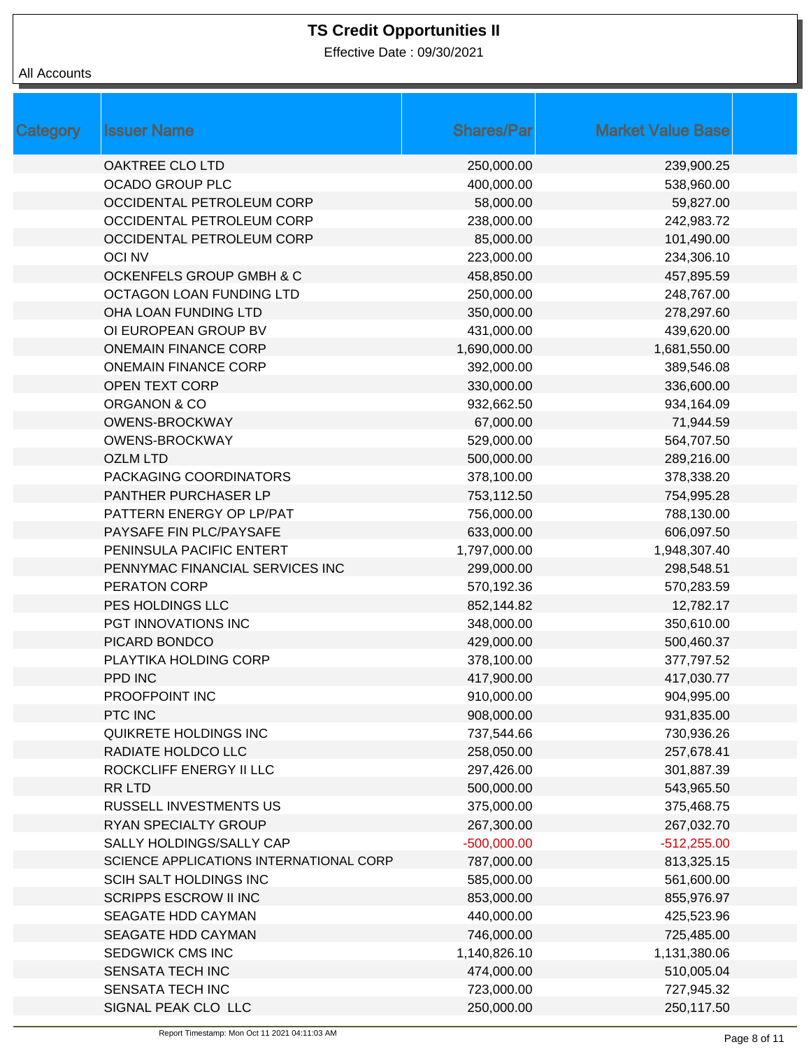Effective Date : 09/30/2021

| Category | <b>Issuer Name</b>                      | <b>Shares/Par</b> | <b>Market Value Base</b> |  |
|----------|-----------------------------------------|-------------------|--------------------------|--|
|          | OAKTREE CLO LTD                         | 250,000.00        | 239,900.25               |  |
|          | <b>OCADO GROUP PLC</b>                  | 400,000.00        | 538,960.00               |  |
|          | OCCIDENTAL PETROLEUM CORP               | 58,000.00         | 59,827.00                |  |
|          | OCCIDENTAL PETROLEUM CORP               | 238,000.00        | 242,983.72               |  |
|          | OCCIDENTAL PETROLEUM CORP               | 85,000.00         | 101,490.00               |  |
|          | <b>OCI NV</b>                           | 223,000.00        | 234,306.10               |  |
|          | <b>OCKENFELS GROUP GMBH &amp; C</b>     | 458,850.00        | 457,895.59               |  |
|          | OCTAGON LOAN FUNDING LTD                | 250,000.00        | 248,767.00               |  |
|          | OHA LOAN FUNDING LTD                    | 350,000.00        | 278,297.60               |  |
|          | OI EUROPEAN GROUP BV                    | 431,000.00        | 439,620.00               |  |
|          | <b>ONEMAIN FINANCE CORP</b>             | 1,690,000.00      | 1,681,550.00             |  |
|          | <b>ONEMAIN FINANCE CORP</b>             | 392,000.00        | 389,546.08               |  |
|          | <b>OPEN TEXT CORP</b>                   | 330,000.00        | 336,600.00               |  |
|          | ORGANON & CO                            | 932,662.50        | 934,164.09               |  |
|          | <b>OWENS-BROCKWAY</b>                   | 67,000.00         | 71,944.59                |  |
|          | <b>OWENS-BROCKWAY</b>                   | 529,000.00        | 564,707.50               |  |
|          | <b>OZLM LTD</b>                         | 500,000.00        | 289,216.00               |  |
|          | PACKAGING COORDINATORS                  | 378,100.00        | 378,338.20               |  |
|          | PANTHER PURCHASER LP                    | 753,112.50        | 754,995.28               |  |
|          | PATTERN ENERGY OP LP/PAT                | 756,000.00        | 788,130.00               |  |
|          | PAYSAFE FIN PLC/PAYSAFE                 | 633,000.00        | 606,097.50               |  |
|          | PENINSULA PACIFIC ENTERT                | 1,797,000.00      | 1,948,307.40             |  |
|          | PENNYMAC FINANCIAL SERVICES INC         | 299,000.00        | 298,548.51               |  |
|          | PERATON CORP                            | 570,192.36        | 570,283.59               |  |
|          | PES HOLDINGS LLC                        | 852,144.82        | 12,782.17                |  |
|          | PGT INNOVATIONS INC                     | 348,000.00        | 350,610.00               |  |
|          | PICARD BONDCO                           | 429,000.00        | 500,460.37               |  |
|          | PLAYTIKA HOLDING CORP                   | 378,100.00        | 377,797.52               |  |
|          | PPD INC                                 | 417,900.00        | 417,030.77               |  |
|          | PROOFPOINT INC                          | 910,000.00        | 904,995.00               |  |
|          | PTC INC                                 | 908,000.00        | 931,835.00               |  |
|          | QUIKRETE HOLDINGS INC                   | 737,544.66        | 730,936.26               |  |
|          | RADIATE HOLDCO LLC                      | 258,050.00        | 257,678.41               |  |
|          | ROCKCLIFF ENERGY II LLC                 | 297,426.00        | 301,887.39               |  |
|          | <b>RR LTD</b>                           | 500,000.00        | 543,965.50               |  |
|          | <b>RUSSELL INVESTMENTS US</b>           | 375,000.00        | 375,468.75               |  |
|          | RYAN SPECIALTY GROUP                    | 267,300.00        | 267,032.70               |  |
|          | SALLY HOLDINGS/SALLY CAP                | $-500,000.00$     | $-512,255.00$            |  |
|          | SCIENCE APPLICATIONS INTERNATIONAL CORP | 787,000.00        | 813,325.15               |  |
|          | SCIH SALT HOLDINGS INC                  | 585,000.00        | 561,600.00               |  |
|          | <b>SCRIPPS ESCROW II INC</b>            | 853,000.00        | 855,976.97               |  |
|          | SEAGATE HDD CAYMAN                      | 440,000.00        | 425,523.96               |  |
|          | SEAGATE HDD CAYMAN                      | 746,000.00        | 725,485.00               |  |
|          | SEDGWICK CMS INC                        | 1,140,826.10      | 1,131,380.06             |  |
|          | SENSATA TECH INC                        | 474,000.00        | 510,005.04               |  |
|          | SENSATA TECH INC                        | 723,000.00        | 727,945.32               |  |
|          | SIGNAL PEAK CLO LLC                     | 250,000.00        | 250,117.50               |  |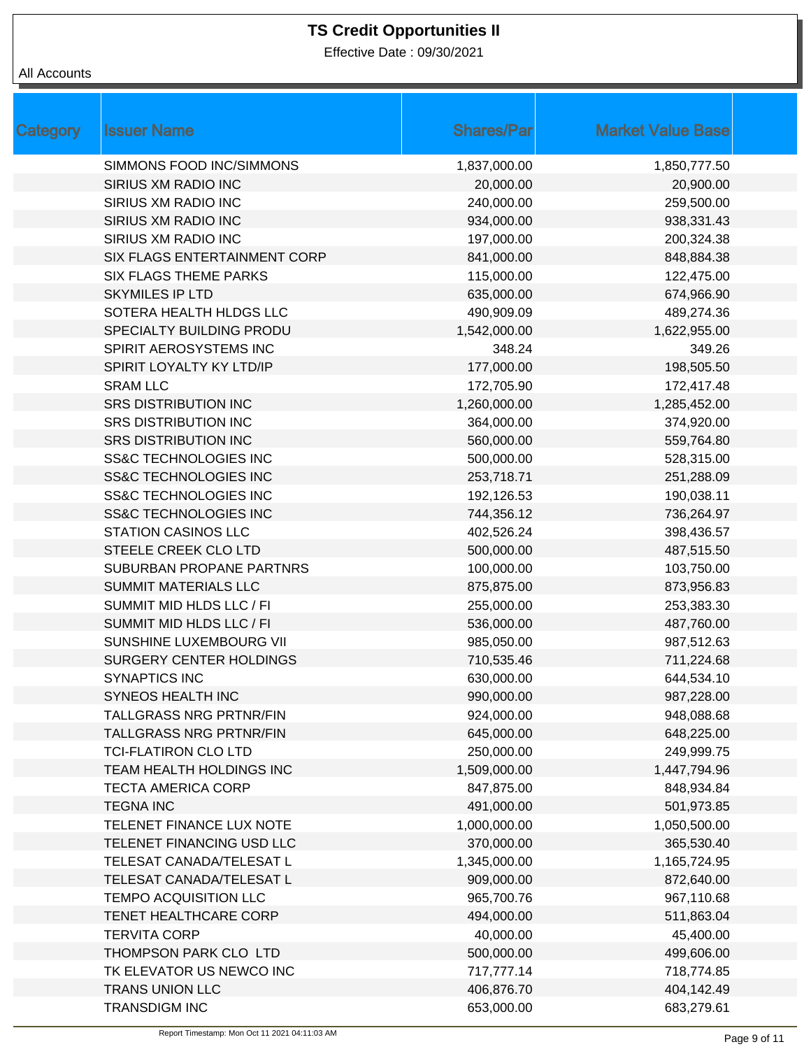Effective Date : 09/30/2021

| <b>Category</b> | <b>Issuer Name</b>               | <b>Shares/Par</b> | <b>Market Value Base</b> |
|-----------------|----------------------------------|-------------------|--------------------------|
|                 | SIMMONS FOOD INC/SIMMONS         | 1,837,000.00      | 1,850,777.50             |
|                 | SIRIUS XM RADIO INC              | 20,000.00         | 20,900.00                |
|                 | SIRIUS XM RADIO INC              | 240,000.00        | 259,500.00               |
|                 | SIRIUS XM RADIO INC              | 934,000.00        | 938,331.43               |
|                 | SIRIUS XM RADIO INC              | 197,000.00        | 200,324.38               |
|                 | SIX FLAGS ENTERTAINMENT CORP     | 841,000.00        | 848,884.38               |
|                 | <b>SIX FLAGS THEME PARKS</b>     | 115,000.00        | 122,475.00               |
|                 | <b>SKYMILES IP LTD</b>           | 635,000.00        | 674,966.90               |
|                 | SOTERA HEALTH HLDGS LLC          | 490,909.09        | 489,274.36               |
|                 | SPECIALTY BUILDING PRODU         | 1,542,000.00      | 1,622,955.00             |
|                 | SPIRIT AEROSYSTEMS INC           | 348.24            | 349.26                   |
|                 | SPIRIT LOYALTY KY LTD/IP         | 177,000.00        | 198,505.50               |
|                 | <b>SRAM LLC</b>                  | 172,705.90        | 172,417.48               |
|                 | <b>SRS DISTRIBUTION INC</b>      | 1,260,000.00      | 1,285,452.00             |
|                 | <b>SRS DISTRIBUTION INC</b>      | 364,000.00        | 374,920.00               |
|                 | <b>SRS DISTRIBUTION INC</b>      | 560,000.00        | 559,764.80               |
|                 | <b>SS&amp;C TECHNOLOGIES INC</b> | 500,000.00        | 528,315.00               |
|                 | <b>SS&amp;C TECHNOLOGIES INC</b> | 253,718.71        | 251,288.09               |
|                 | <b>SS&amp;C TECHNOLOGIES INC</b> | 192,126.53        | 190,038.11               |
|                 | <b>SS&amp;C TECHNOLOGIES INC</b> | 744,356.12        | 736,264.97               |
|                 | <b>STATION CASINOS LLC</b>       | 402,526.24        | 398,436.57               |
|                 | STEELE CREEK CLO LTD             | 500,000.00        | 487,515.50               |
|                 | SUBURBAN PROPANE PARTNRS         | 100,000.00        | 103,750.00               |
|                 | <b>SUMMIT MATERIALS LLC</b>      | 875,875.00        | 873,956.83               |
|                 | SUMMIT MID HLDS LLC / FI         | 255,000.00        | 253,383.30               |
|                 | SUMMIT MID HLDS LLC / FI         | 536,000.00        | 487,760.00               |
|                 | SUNSHINE LUXEMBOURG VII          | 985,050.00        | 987,512.63               |
|                 | <b>SURGERY CENTER HOLDINGS</b>   | 710,535.46        | 711,224.68               |
|                 | <b>SYNAPTICS INC</b>             | 630,000.00        | 644,534.10               |
|                 | SYNEOS HEALTH INC                | 990,000.00        | 987,228.00               |
|                 | <b>TALLGRASS NRG PRTNR/FIN</b>   | 924,000.00        | 948,088.68               |
|                 | <b>TALLGRASS NRG PRTNR/FIN</b>   | 645,000.00        | 648,225.00               |
|                 | <b>TCI-FLATIRON CLO LTD</b>      | 250,000.00        | 249,999.75               |
|                 | TEAM HEALTH HOLDINGS INC         | 1,509,000.00      | 1,447,794.96             |
|                 | <b>TECTA AMERICA CORP</b>        | 847,875.00        | 848,934.84               |
|                 | <b>TEGNA INC</b>                 | 491,000.00        | 501,973.85               |
|                 | TELENET FINANCE LUX NOTE         | 1,000,000.00      | 1,050,500.00             |
|                 | TELENET FINANCING USD LLC        | 370,000.00        | 365,530.40               |
|                 | TELESAT CANADA/TELESAT L         | 1,345,000.00      | 1,165,724.95             |
|                 | TELESAT CANADA/TELESAT L         | 909,000.00        | 872,640.00               |
|                 | <b>TEMPO ACQUISITION LLC</b>     | 965,700.76        | 967,110.68               |
|                 | TENET HEALTHCARE CORP            | 494,000.00        | 511,863.04               |
|                 | <b>TERVITA CORP</b>              | 40,000.00         | 45,400.00                |
|                 | THOMPSON PARK CLO LTD            | 500,000.00        | 499,606.00               |
|                 | TK ELEVATOR US NEWCO INC         | 717,777.14        | 718,774.85               |
|                 | <b>TRANS UNION LLC</b>           | 406,876.70        | 404,142.49               |
|                 | <b>TRANSDIGM INC</b>             | 653,000.00        | 683,279.61               |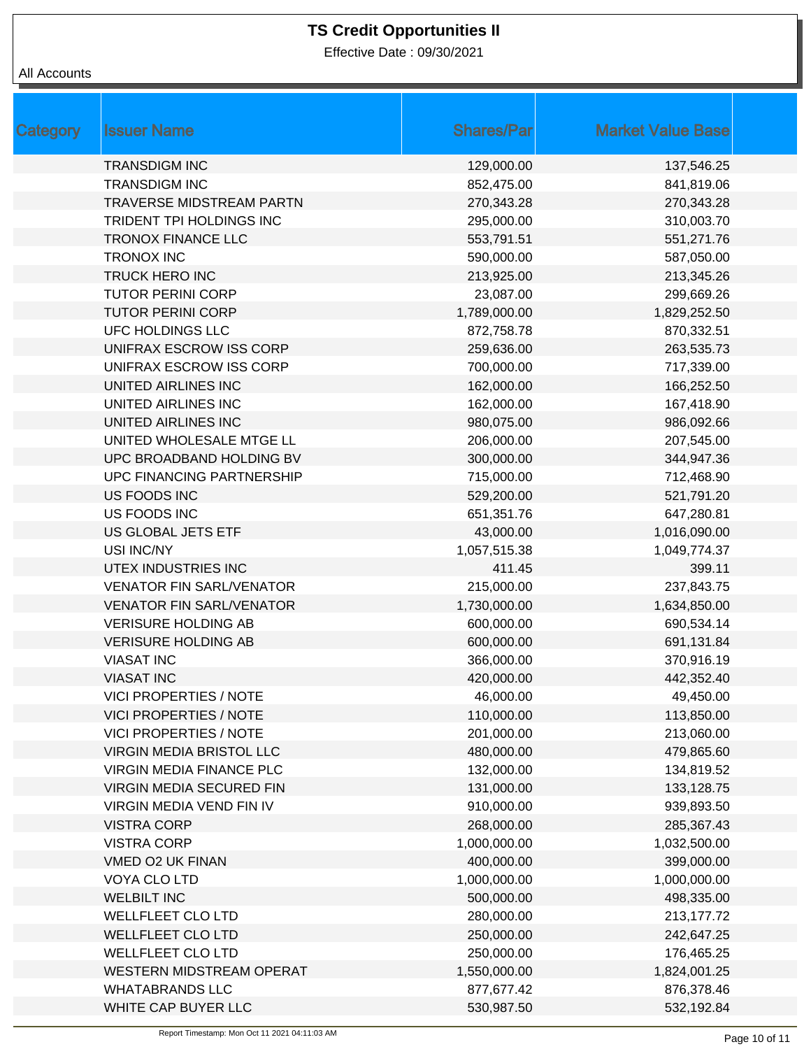Effective Date : 09/30/2021

| Category | <b>Issuer Name</b>               | <b>Shares/Par</b> | <b>Market Value Base</b> |
|----------|----------------------------------|-------------------|--------------------------|
|          | <b>TRANSDIGM INC</b>             | 129,000.00        | 137,546.25               |
|          | <b>TRANSDIGM INC</b>             | 852,475.00        | 841,819.06               |
|          | <b>TRAVERSE MIDSTREAM PARTN</b>  | 270,343.28        | 270,343.28               |
|          | TRIDENT TPI HOLDINGS INC         | 295,000.00        | 310,003.70               |
|          | <b>TRONOX FINANCE LLC</b>        | 553,791.51        | 551,271.76               |
|          | <b>TRONOX INC</b>                | 590,000.00        | 587,050.00               |
|          | <b>TRUCK HERO INC</b>            | 213,925.00        | 213,345.26               |
|          | <b>TUTOR PERINI CORP</b>         | 23,087.00         | 299,669.26               |
|          | <b>TUTOR PERINI CORP</b>         | 1,789,000.00      | 1,829,252.50             |
|          | UFC HOLDINGS LLC                 | 872,758.78        | 870,332.51               |
|          | UNIFRAX ESCROW ISS CORP          | 259,636.00        | 263,535.73               |
|          | UNIFRAX ESCROW ISS CORP          | 700,000.00        | 717,339.00               |
|          | UNITED AIRLINES INC              | 162,000.00        | 166,252.50               |
|          | UNITED AIRLINES INC              | 162,000.00        | 167,418.90               |
|          | UNITED AIRLINES INC              | 980,075.00        | 986,092.66               |
|          | UNITED WHOLESALE MTGE LL         | 206,000.00        | 207,545.00               |
|          | UPC BROADBAND HOLDING BV         | 300,000.00        | 344,947.36               |
|          | <b>UPC FINANCING PARTNERSHIP</b> | 715,000.00        | 712,468.90               |
|          | <b>US FOODS INC</b>              | 529,200.00        | 521,791.20               |
|          | US FOODS INC                     | 651,351.76        | 647,280.81               |
|          | US GLOBAL JETS ETF               | 43,000.00         | 1,016,090.00             |
|          | USI INC/NY                       | 1,057,515.38      | 1,049,774.37             |
|          | UTEX INDUSTRIES INC              | 411.45            | 399.11                   |
|          | <b>VENATOR FIN SARL/VENATOR</b>  | 215,000.00        | 237,843.75               |
|          | <b>VENATOR FIN SARL/VENATOR</b>  | 1,730,000.00      | 1,634,850.00             |
|          | <b>VERISURE HOLDING AB</b>       | 600,000.00        | 690,534.14               |
|          | <b>VERISURE HOLDING AB</b>       | 600,000.00        | 691,131.84               |
|          | <b>VIASAT INC</b>                | 366,000.00        | 370,916.19               |
|          | <b>VIASAT INC</b>                | 420,000.00        | 442,352.40               |
|          | <b>VICI PROPERTIES / NOTE</b>    | 46,000.00         | 49,450.00                |
|          | <b>VICI PROPERTIES / NOTE</b>    | 110,000.00        | 113,850.00               |
|          | <b>VICI PROPERTIES / NOTE</b>    | 201,000.00        | 213,060.00               |
|          | <b>VIRGIN MEDIA BRISTOL LLC</b>  | 480,000.00        | 479,865.60               |
|          | <b>VIRGIN MEDIA FINANCE PLC</b>  | 132,000.00        | 134,819.52               |
|          | VIRGIN MEDIA SECURED FIN         | 131,000.00        | 133,128.75               |
|          | <b>VIRGIN MEDIA VEND FIN IV</b>  | 910,000.00        | 939,893.50               |
|          | <b>VISTRA CORP</b>               | 268,000.00        | 285,367.43               |
|          | <b>VISTRA CORP</b>               | 1,000,000.00      | 1,032,500.00             |
|          | VMED O2 UK FINAN                 | 400,000.00        | 399,000.00               |
|          | VOYA CLO LTD                     | 1,000,000.00      | 1,000,000.00             |
|          | <b>WELBILT INC</b>               | 500,000.00        | 498,335.00               |
|          | <b>WELLFLEET CLO LTD</b>         | 280,000.00        | 213,177.72               |
|          | <b>WELLFLEET CLO LTD</b>         | 250,000.00        | 242,647.25               |
|          | WELLFLEET CLO LTD                | 250,000.00        | 176,465.25               |
|          | <b>WESTERN MIDSTREAM OPERAT</b>  | 1,550,000.00      | 1,824,001.25             |
|          | <b>WHATABRANDS LLC</b>           | 877,677.42        | 876,378.46               |
|          | WHITE CAP BUYER LLC              | 530,987.50        | 532,192.84               |